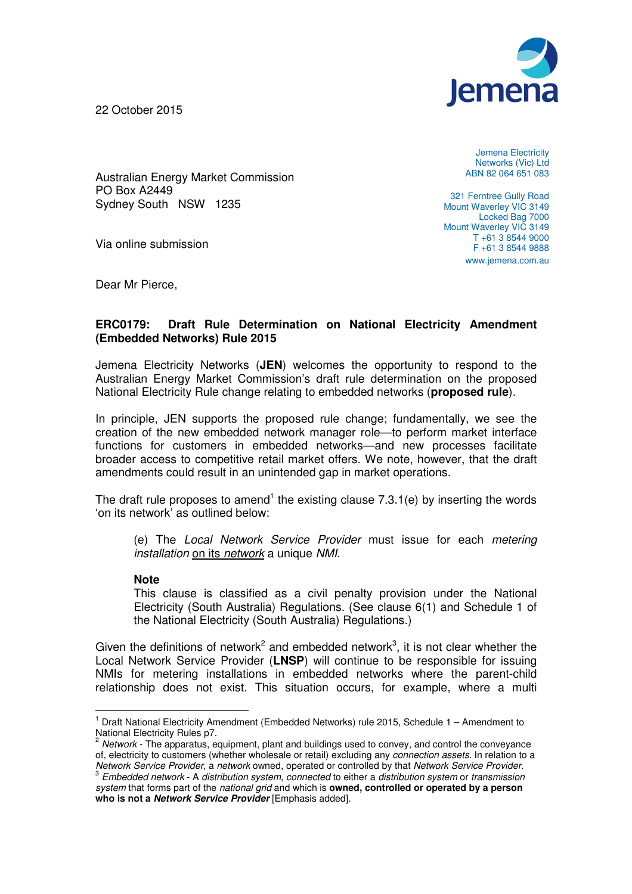

22 October 2015

Jemena Electricity Networks (Vic) Ltd ABN 82 064 651 083

Australian Energy Market Commission PO Box A2449 Sydney South NSW 1235

Via online submission

321 Ferntree Gully Road Mount Waverley VIC 3149 Locked Bag 7000 Mount Waverley VIC 3149 T +61 3 8544 9000 F +61 3 8544 9888 www.jemena.com.au

Dear Mr Pierce,

## **ERC0179: Draft Rule Determination on National Electricity Amendment (Embedded Networks) Rule 2015**

Jemena Electricity Networks (**JEN**) welcomes the opportunity to respond to the Australian Energy Market Commission's draft rule determination on the proposed National Electricity Rule change relating to embedded networks (**proposed rule**).

In principle, JEN supports the proposed rule change; fundamentally, we see the creation of the new embedded network manager role—to perform market interface functions for customers in embedded networks—and new processes facilitate broader access to competitive retail market offers. We note, however, that the draft amendments could result in an unintended gap in market operations.

The draft rule proposes to amend<sup>1</sup> the existing clause  $7.3.1$ (e) by inserting the words 'on its network' as outlined below:

(e) The Local Network Service Provider must issue for each metering installation on its network a unique NMI.

## **Note**

 $\overline{a}$ 

This clause is classified as a civil penalty provision under the National Electricity (South Australia) Regulations. (See clause 6(1) and Schedule 1 of the National Electricity (South Australia) Regulations.)

Given the definitions of network<sup>2</sup> and embedded network<sup>3</sup>, it is not clear whether the Local Network Service Provider (**LNSP**) will continue to be responsible for issuing NMIs for metering installations in embedded networks where the parent-child relationship does not exist. This situation occurs, for example, where a multi

<sup>&</sup>lt;sup>1</sup> Draft National Electricity Amendment (Embedded Networks) rule 2015, Schedule 1 - Amendment to National Electricity Rules p7.

 $2$  Network - The apparatus, equipment, plant and buildings used to convey, and control the conveyance of, electricity to customers (whether wholesale or retail) excluding any connection assets. In relation to a Network Service Provider, a network owned, operated or controlled by that Network Service Provider.

 $^3$  Embedded network - A distribution system, connected to either a distribution system or transmission system that forms part of the national grid and which is **owned, controlled or operated by a person who is not a Network Service Provider** [Emphasis added].